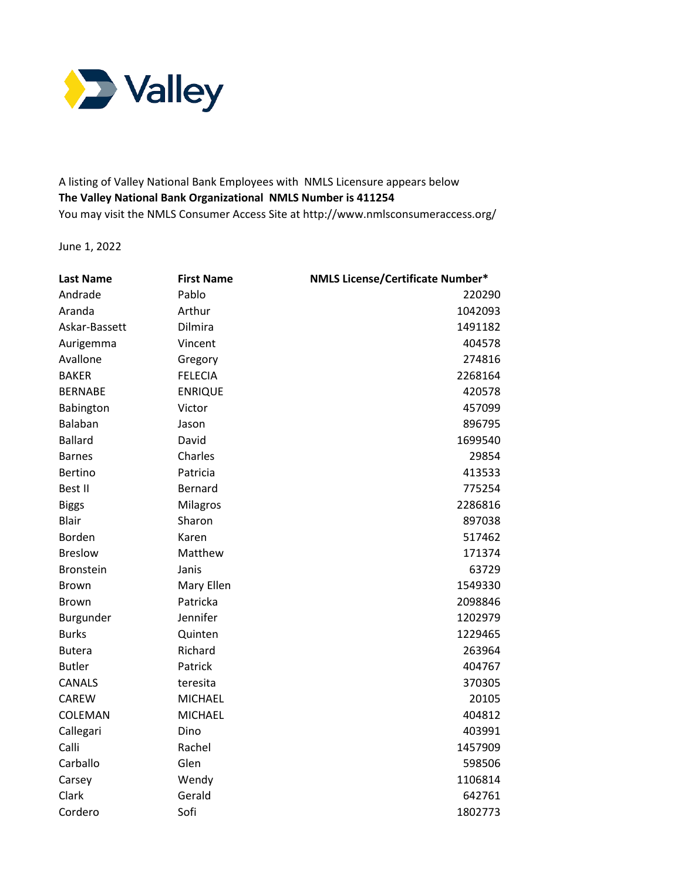

 A listing of Valley National Bank Employees with NMLS Licensure appears below  **The Valley National Bank Organizational NMLS Number is 411254**  You may visit the NMLS Consumer Access Site at <http://www.nmlsconsumeraccess.org>/

June 1, 2022

| <b>Last Name</b> | <b>First Name</b> | <b>NMLS License/Certificate Number*</b> |
|------------------|-------------------|-----------------------------------------|
| Andrade          | Pablo             | 220290                                  |
| Aranda           | Arthur            | 1042093                                 |
| Askar-Bassett    | Dilmira           | 1491182                                 |
| Aurigemma        | Vincent           | 404578                                  |
| Avallone         | Gregory           | 274816                                  |
| <b>BAKER</b>     | <b>FELECIA</b>    | 2268164                                 |
| <b>BERNABE</b>   | <b>ENRIQUE</b>    | 420578                                  |
| Babington        | Victor            | 457099                                  |
| Balaban          | Jason             | 896795                                  |
| <b>Ballard</b>   | David             | 1699540                                 |
| <b>Barnes</b>    | Charles           | 29854                                   |
| <b>Bertino</b>   | Patricia          | 413533                                  |
| Best II          | <b>Bernard</b>    | 775254                                  |
| <b>Biggs</b>     | Milagros          | 2286816                                 |
| <b>Blair</b>     | Sharon            | 897038                                  |
| Borden           | Karen             | 517462                                  |
| <b>Breslow</b>   | Matthew           | 171374                                  |
| <b>Bronstein</b> | Janis             | 63729                                   |
| <b>Brown</b>     | Mary Ellen        | 1549330                                 |
| <b>Brown</b>     | Patricka          | 2098846                                 |
| Burgunder        | Jennifer          | 1202979                                 |
| <b>Burks</b>     | Quinten           | 1229465                                 |
| <b>Butera</b>    | Richard           | 263964                                  |
| <b>Butler</b>    | Patrick           | 404767                                  |
| CANALS           | teresita          | 370305                                  |
| CAREW            | <b>MICHAEL</b>    | 20105                                   |
| COLEMAN          | <b>MICHAEL</b>    | 404812                                  |
| Callegari        | Dino              | 403991                                  |
| Calli            | Rachel            | 1457909                                 |
| Carballo         | Glen              | 598506                                  |
| Carsey           | Wendy             | 1106814                                 |
| Clark            | Gerald            | 642761                                  |
| Cordero          | Sofi              | 1802773                                 |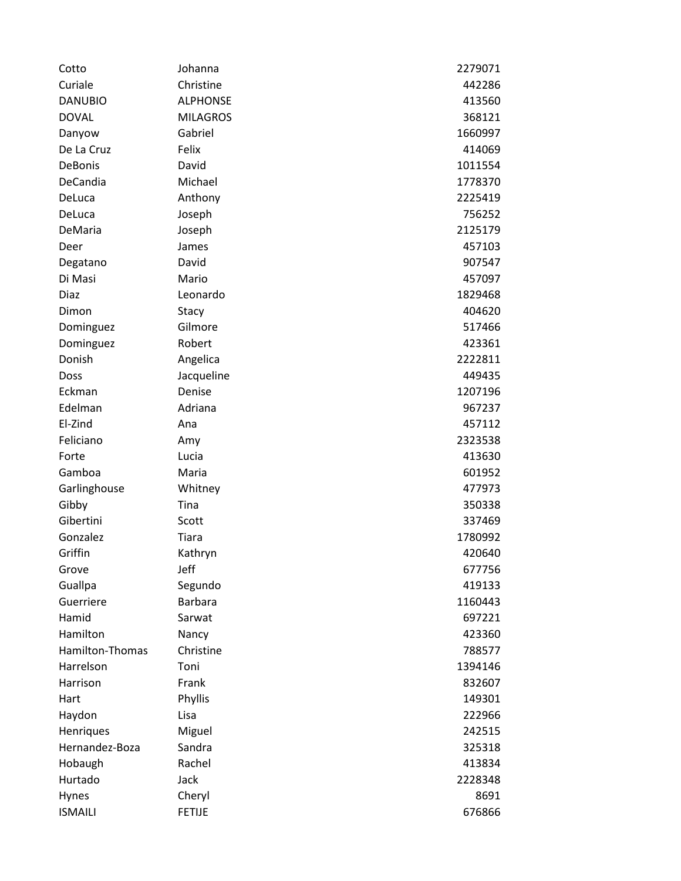| Cotto           | Johanna         | 2279071 |
|-----------------|-----------------|---------|
| Curiale         | Christine       | 442286  |
| <b>DANUBIO</b>  | <b>ALPHONSE</b> | 413560  |
| <b>DOVAL</b>    | <b>MILAGROS</b> | 368121  |
| Danyow          | Gabriel         | 1660997 |
| De La Cruz      | Felix           | 414069  |
| DeBonis         | David           | 1011554 |
| DeCandia        | Michael         | 1778370 |
| DeLuca          | Anthony         | 2225419 |
| DeLuca          | Joseph          | 756252  |
| DeMaria         | Joseph          | 2125179 |
| Deer            | James           | 457103  |
| Degatano        | David           | 907547  |
| Di Masi         | Mario           | 457097  |
| Diaz            | Leonardo        | 1829468 |
| Dimon           | Stacy           | 404620  |
| Dominguez       | Gilmore         | 517466  |
| Dominguez       | Robert          | 423361  |
| Donish          | Angelica        | 2222811 |
| Doss            | Jacqueline      | 449435  |
| Eckman          | Denise          | 1207196 |
| Edelman         | Adriana         | 967237  |
| El-Zind         | Ana             | 457112  |
| Feliciano       | Amy             | 2323538 |
| Forte           | Lucia           | 413630  |
| Gamboa          | Maria           | 601952  |
| Garlinghouse    | Whitney         | 477973  |
| Gibby           | Tina            | 350338  |
| Gibertini       | Scott           | 337469  |
| Gonzalez        | Tiara           | 1780992 |
| Griffin         | Kathryn         | 420640  |
| Grove           | Jeff            | 677756  |
| Guallpa         | Segundo         | 419133  |
| Guerriere       | <b>Barbara</b>  | 1160443 |
| Hamid           | Sarwat          | 697221  |
| Hamilton        | Nancy           | 423360  |
| Hamilton-Thomas | Christine       | 788577  |
| Harrelson       | Toni            | 1394146 |
| Harrison        | Frank           | 832607  |
| Hart            | Phyllis         | 149301  |
| Haydon          | Lisa            | 222966  |
| Henriques       | Miguel          | 242515  |
| Hernandez-Boza  | Sandra          | 325318  |
| Hobaugh         | Rachel          | 413834  |
| Hurtado         | Jack            | 2228348 |
| Hynes           | Cheryl          | 8691    |
| <b>ISMAILI</b>  | <b>FETIJE</b>   | 676866  |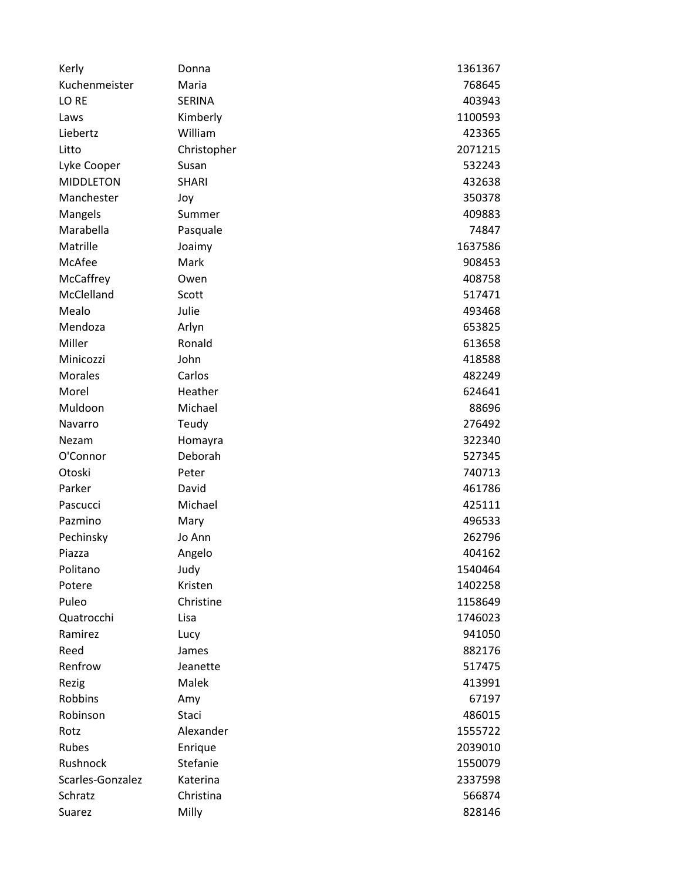| Kerly            | Donna        | 1361367 |
|------------------|--------------|---------|
| Kuchenmeister    | Maria        | 768645  |
| LO RE            | SERINA       | 403943  |
| Laws             | Kimberly     | 1100593 |
| Liebertz         | William      | 423365  |
| Litto            | Christopher  | 2071215 |
| Lyke Cooper      | Susan        | 532243  |
| <b>MIDDLETON</b> | <b>SHARI</b> | 432638  |
| Manchester       | Joy          | 350378  |
| Mangels          | Summer       | 409883  |
| Marabella        | Pasquale     | 74847   |
| Matrille         | Joaimy       | 1637586 |
| McAfee           | Mark         | 908453  |
| McCaffrey        | Owen         | 408758  |
| McClelland       | Scott        | 517471  |
| Mealo            | Julie        | 493468  |
| Mendoza          | Arlyn        | 653825  |
| Miller           | Ronald       | 613658  |
| Minicozzi        | John         | 418588  |
| <b>Morales</b>   | Carlos       | 482249  |
| Morel            | Heather      | 624641  |
| Muldoon          | Michael      | 88696   |
| Navarro          | Teudy        | 276492  |
| Nezam            | Homayra      | 322340  |
| O'Connor         | Deborah      | 527345  |
| Otoski           | Peter        | 740713  |
| Parker           | David        | 461786  |
| Pascucci         | Michael      | 425111  |
| Pazmino          | Mary         | 496533  |
| Pechinsky        | Jo Ann       | 262796  |
| Piazza           | Angelo       | 404162  |
| Politano         | Judy         | 1540464 |
| Potere           | Kristen      | 1402258 |
| Puleo            | Christine    | 1158649 |
| Quatrocchi       | Lisa         | 1746023 |
| Ramirez          | Lucy         | 941050  |
| Reed             | James        | 882176  |
| Renfrow          | Jeanette     | 517475  |
| Rezig            | Malek        | 413991  |
| <b>Robbins</b>   | Amy          | 67197   |
| Robinson         | Staci        | 486015  |
| Rotz             | Alexander    | 1555722 |
| Rubes            | Enrique      | 2039010 |
| Rushnock         | Stefanie     | 1550079 |
| Scarles-Gonzalez | Katerina     | 2337598 |
| Schratz          | Christina    | 566874  |
| Suarez           | Milly        | 828146  |